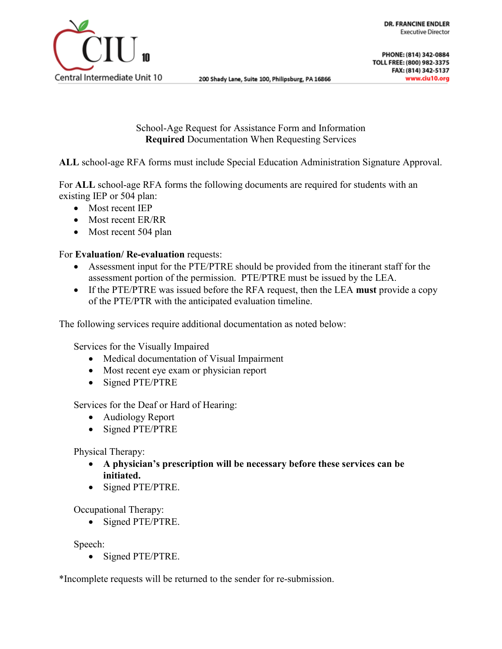

School-Age Request for Assistance Form and Information **Required** Documentation When Requesting Services

**ALL** school-age RFA forms must include Special Education Administration Signature Approval.

For **ALL** school-age RFA forms the following documents are required for students with an existing IEP or 504 plan:

- Most recent IEP
- Most recent ER/RR
- Most recent 504 plan

#### For **Evaluation/ Re-evaluation** requests:

- Assessment input for the PTE/PTRE should be provided from the itinerant staff for the assessment portion of the permission. PTE/PTRE must be issued by the LEA.
- If the PTE/PTRE was issued before the RFA request, then the LEA **must** provide a copy of the PTE/PTR with the anticipated evaluation timeline.

The following services require additional documentation as noted below:

Services for the Visually Impaired

- Medical documentation of Visual Impairment
- Most recent eye exam or physician report
- Signed PTE/PTRE

Services for the Deaf or Hard of Hearing:

- Audiology Report
- Signed PTE/PTRE

Physical Therapy:

- **A physician's prescription will be necessary before these services can be initiated.**
- Signed PTE/PTRE.

Occupational Therapy:

• Signed PTE/PTRE.

Speech:

• Signed PTE/PTRE.

\*Incomplete requests will be returned to the sender for re-submission.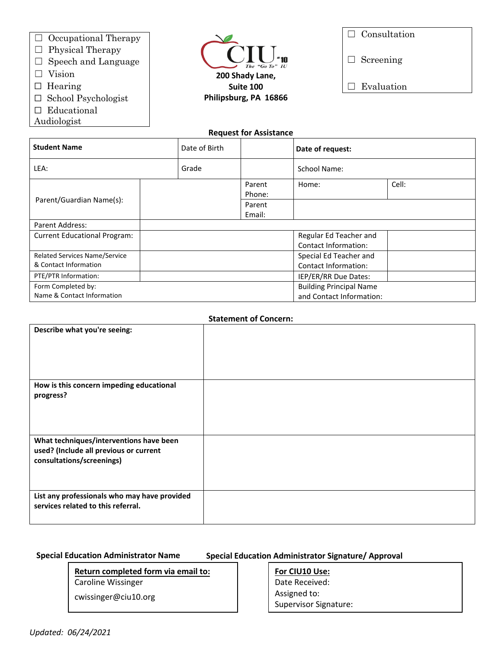- ☐ Occupational Therapy
- $\Box$  Physical Therapy
- ☐ Speech and Language
- □ Vision
- □ Hearing
- ☐ School Psychologist
- □ Educational
- Audiologist



| $\Box$ Consultation |
|---------------------|
|                     |

□ Screening

 $\quad \Box \hspace{0.14cm}$  Evaluation

#### **Request for Assistance**

| <b>Student Name</b>                  | Date of Birth |                                | Date of request:            |       |
|--------------------------------------|---------------|--------------------------------|-----------------------------|-------|
| LEA:                                 | Grade         |                                | School Name:                |       |
|                                      |               | Parent<br>Phone:               | Home:                       | Cell: |
| Parent/Guardian Name(s):             |               | Parent                         |                             |       |
|                                      |               | Email:                         |                             |       |
| Parent Address:                      |               |                                |                             |       |
| <b>Current Educational Program:</b>  |               |                                | Regular Ed Teacher and      |       |
|                                      |               |                                | <b>Contact Information:</b> |       |
| <b>Related Services Name/Service</b> |               |                                | Special Ed Teacher and      |       |
| & Contact Information                |               |                                | <b>Contact Information:</b> |       |
| PTE/PTR Information:                 |               |                                | IEP/ER/RR Due Dates:        |       |
| Form Completed by:                   |               | <b>Building Principal Name</b> |                             |       |
| Name & Contact Information           |               | and Contact Information:       |                             |       |

#### **Statement of Concern:**

| <b>STATEMICHT OF CONCERTI</b>                                                                                  |  |  |  |
|----------------------------------------------------------------------------------------------------------------|--|--|--|
| Describe what you're seeing:                                                                                   |  |  |  |
| How is this concern impeding educational<br>progress?                                                          |  |  |  |
| What techniques/interventions have been<br>used? (Include all previous or current<br>consultations/screenings) |  |  |  |
| List any professionals who may have provided<br>services related to this referral.                             |  |  |  |

## **Special Education Administrator Name**

## **Special Education Administrator Signature/ Approval**

# **Return completed form via email to:**

Caroline Wissinger

cwissinger@ciu10.org

# **For CIU10 Use:**

Date Received: Assigned to: Supervisor Signature: